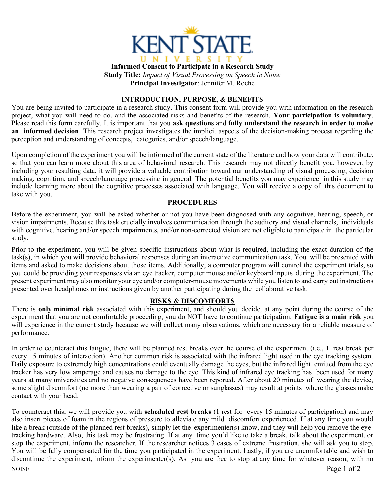

**Informed Consent to Participate in a Research Study Study Title:** *Impact of Visual Processing on Speech in Noise* **Principal Investigator**: Jennifer M. Roche

### **INTRODUCTION, PURPOSE, & BENEFITS**

You are being invited to participate in a research study. This consent form will provide you with information on the research project, what you will need to do, and the associated risks and benefits of the research. **Your participation is voluntary**. Please read this form carefully. It is important that you **ask questions** and **fully understand the research in order to make an informed decision**. This research project investigates the implicit aspects of the decision-making process regarding the perception and understanding of concepts, categories, and/or speech/language.

Upon completion of the experiment you will be informed of the current state of the literature and how your data will contribute, so that you can learn more about this area of behavioral research. This research may not directly benefit you, however, by including your resulting data, it will provide a valuable contribution toward our understanding of visual processing, decision making, cognition, and speech/language processing in general. The potential benefits you may experience in this study may include learning more about the cognitive processes associated with language. You will receive a copy of this document to take with you.

#### **PROCEDURES**

Before the experiment, you will be asked whether or not you have been diagnosed with any cognitive, hearing, speech, or vision impairments. Because this task crucially involves communication through the auditory and visual channels, individuals with cognitive, hearing and/or speech impairments, and/or non-corrected vision are not eligible to participate in the particular study.

Prior to the experiment, you will be given specific instructions about what is required, including the exact duration of the task(s), in which you will provide behavioral responses during an interactive communication task. You will be presented with items and asked to make decisions about those items. Additionally, a computer program will control the experiment trials, so you could be providing your responses via an eye tracker, computer mouse and/or keyboard inputs during the experiment. The present experiment may also monitor your eye and/or computer-mouse movements while you listen to and carry out instructions presented over headphones or instructions given by another participating during the collaborative task.

### **RISKS & DISCOMFORTS**

There is **only minimal risk** associated with this experiment, and should you decide, at any point during the course of the experiment that you are not comfortable proceeding, you do NOT have to continue participation. **Fatigue is a main risk** you will experience in the current study because we will collect many observations, which are necessary for a reliable measure of performance.

In order to counteract this fatigue, there will be planned rest breaks over the course of the experiment (i.e., 1 rest break per every 15 minutes of interaction). Another common risk is associated with the infrared light used in the eye tracking system. Daily exposure to extremely high concentrations could eventually damage the eyes, but the infrared light emitted from the eye tracker has very low amperage and causes no damage to the eye. This kind of infrared eye tracking has been used for many years at many universities and no negative consequences have been reported. After about 20 minutes of wearing the device, some slight discomfort (no more than wearing a pair of corrective or sunglasses) may result at points where the glasses make contact with your head.

NOISE Page 1 of 2 To counteract this, we will provide you with **scheduled rest breaks** (1 rest for every 15 minutes of participation) and may also insert pieces of foam in the regions of pressure to alleviate any mild discomfort experienced. If at any time you would like a break (outside of the planned rest breaks), simply let the experimenter(s) know, and they will help you remove the eyetracking hardware. Also, this task may be frustrating. If at any time you'd like to take a break, talk about the experiment, or stop the experiment, inform the researcher. If the researcher notices 3 cases of extreme frustration, she will ask you to stop. You will be fully compensated for the time you participated in the experiment. Lastly, if you are uncomfortable and wish to discontinue the experiment, inform the experimenter(s). As you are free to stop at any time for whatever reason, with no